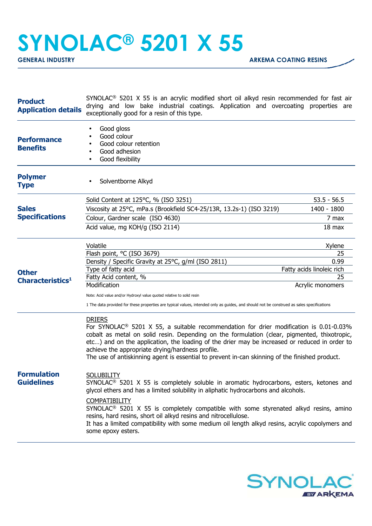## **SYNOLAC® 5201 X 55**

| <b>Product</b><br><b>Application details</b>       | SYNOLAC <sup>®</sup> 5201 X 55 is an acrylic modified short oil alkyd resin recommended for fast air<br>drying and low bake industrial coatings. Application and overcoating properties are<br>exceptionally good for a resin of this type.                                                                                                                                                                                                                                                                                                                                                                                                                                                                                                                                                                                                                                                                                                                                                               |                                                 |
|----------------------------------------------------|-----------------------------------------------------------------------------------------------------------------------------------------------------------------------------------------------------------------------------------------------------------------------------------------------------------------------------------------------------------------------------------------------------------------------------------------------------------------------------------------------------------------------------------------------------------------------------------------------------------------------------------------------------------------------------------------------------------------------------------------------------------------------------------------------------------------------------------------------------------------------------------------------------------------------------------------------------------------------------------------------------------|-------------------------------------------------|
| <b>Performance</b><br><b>Benefits</b>              | Good gloss<br>Good colour<br>Good colour retention<br>Good adhesion<br>Good flexibility                                                                                                                                                                                                                                                                                                                                                                                                                                                                                                                                                                                                                                                                                                                                                                                                                                                                                                                   |                                                 |
| <b>Polymer</b><br><b>Type</b>                      | Solventborne Alkyd                                                                                                                                                                                                                                                                                                                                                                                                                                                                                                                                                                                                                                                                                                                                                                                                                                                                                                                                                                                        |                                                 |
| <b>Sales</b><br><b>Specifications</b>              | Solid Content at 125°C, % (ISO 3251)<br>Viscosity at 25°C, mPa.s (Brookfield SC4-25/13R, 13.2s-1) (ISO 3219)<br>Colour, Gardner scale (ISO 4630)<br>Acid value, mg KOH/g (ISO 2114)                                                                                                                                                                                                                                                                                                                                                                                                                                                                                                                                                                                                                                                                                                                                                                                                                       | $53.5 - 56.5$<br>1400 - 1800<br>7 max<br>18 max |
| <b>Other</b><br><b>Characteristics<sup>1</sup></b> | Volatile<br>Xylene<br>Flash point, °C (ISO 3679)<br>25<br>Density / Specific Gravity at 25°C, g/ml (ISO 2811)<br>0.99<br>Type of fatty acid<br>Fatty acids linoleic rich<br>Fatty Acid content, %<br>25<br>Modification<br>Acrylic monomers<br>Note: Acid value and/or Hydroxyl value quoted relative to solid resin<br>1 The data provided for these properties are typical values, intended only as guides, and should not be construed as sales specifications                                                                                                                                                                                                                                                                                                                                                                                                                                                                                                                                         |                                                 |
| <b>Formulation</b><br><b>Guidelines</b>            | <b>DRIERS</b><br>For SYNOLAC <sup>®</sup> 5201 X 55, a suitable recommendation for drier modification is 0.01-0.03%<br>cobalt as metal on solid resin. Depending on the formulation (clear, pigmented, thixotropic,<br>etc) and on the application, the loading of the drier may be increased or reduced in order to<br>achieve the appropriate drying/hardness profile.<br>The use of antiskinning agent is essential to prevent in-can skinning of the finished product.<br><b>SOLUBILITY</b><br>SYNOLAC <sup>®</sup> 5201 X 55 is completely soluble in aromatic hydrocarbons, esters, ketones and<br>glycol ethers and has a limited solubility in aliphatic hydrocarbons and alcohols.<br><b>COMPATIBILITY</b><br>$SYNOLAC®$ 5201 X 55 is completely compatible with some styrenated alkyd resins, amino<br>resins, hard resins, short oil alkyd resins and nitrocellulose.<br>It has a limited compatibility with some medium oil length alkyd resins, acrylic copolymers and<br>some epoxy esters. |                                                 |